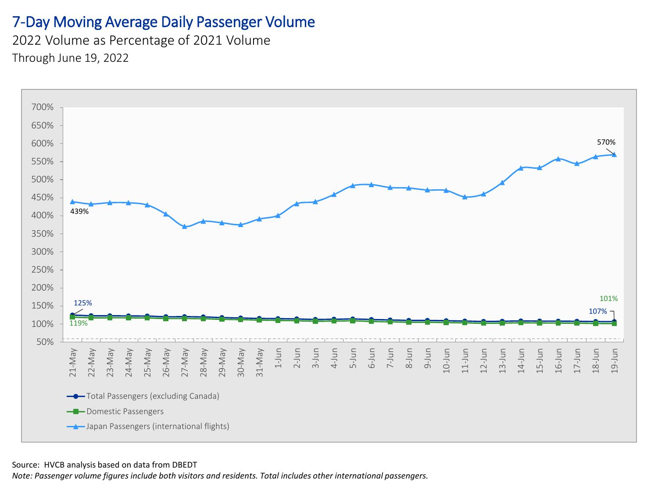#### 7-Day Moving Average Daily Passenger Volume

2022 Volume as Percentage of 2021 Volume Through June 19, 2022



#### Source: HVCB analysis based on data from DBEDT

*Note: Passenger volume figures include both visitors and residents. Total includes other international passengers.*